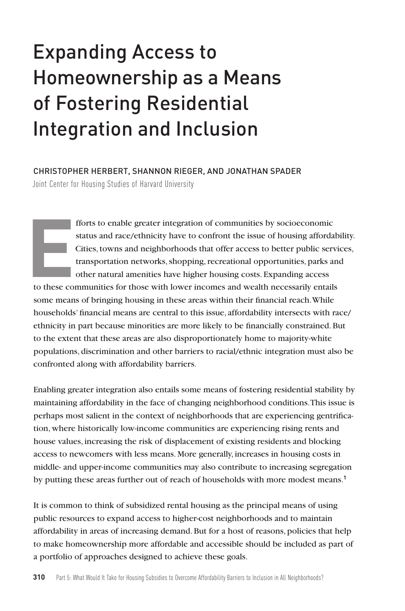# Expanding Access to Homeownership as a Means of Fostering Residential Integration and Inclusion

CHRISTOPHER HERBERT, SHANNON RIEGER, AND JONATHAN SPADER Joint Center for Housing Studies of Harvard University

**E** fforts to enable greater integration of communities by socioeconomic status and race/ethnicity have to confront the issue of housing affordability. Cities, towns and neighborhoods that offer access to better public services, transportation networks, shopping, recreational opportunities, parks and other natural amenities have higher housing costs. Expanding access to these communities for those with lower incomes and wealth necessarily entails

some means of bringing housing in these areas within their financial reach. While households' financial means are central to this issue, affordability intersects with race/ ethnicity in part because minorities are more likely to be financially constrained. But to the extent that these areas are also disproportionately home to majority-white populations, discrimination and other barriers to racial/ethnic integration must also be confronted along with affordability barriers.

Enabling greater integration also entails some means of fostering residential stability by maintaining affordability in the face of changing neighborhood conditions. This issue is perhaps most salient in the context of neighborhoods that are experiencing gentrification, where historically low-income communities are experiencing rising rents and house values, increasing the risk of displacement of existing residents and blocking access to newcomers with less means. More generally, increases in housing costs in middle- and upper-income communities may also contribute to increasing segregation by putting these areas further out of reach of households with more modest means.**<sup>1</sup>**

It is common to think of subsidized rental housing as the principal means of using public resources to expand access to higher-cost neighborhoods and to maintain affordability in areas of increasing demand. But for a host of reasons, policies that help to make homeownership more affordable and accessible should be included as part of a portfolio of approaches designed to achieve these goals.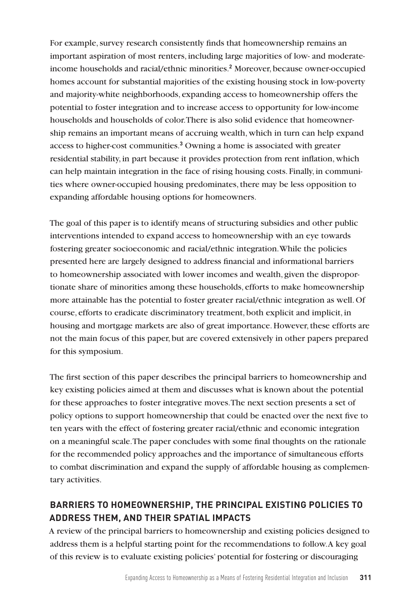For example, survey research consistently finds that homeownership remains an important aspiration of most renters, including large majorities of low- and moderateincome households and racial/ethnic minorities.**<sup>2</sup>** Moreover, because owner-occupied homes account for substantial majorities of the existing housing stock in low-poverty and majority-white neighborhoods, expanding access to homeownership offers the potential to foster integration and to increase access to opportunity for low-income households and households of color. There is also solid evidence that homeownership remains an important means of accruing wealth, which in turn can help expand access to higher-cost communities.**<sup>3</sup>** Owning a home is associated with greater residential stability, in part because it provides protection from rent inflation, which can help maintain integration in the face of rising housing costs. Finally, in communities where owner-occupied housing predominates, there may be less opposition to expanding affordable housing options for homeowners.

The goal of this paper is to identify means of structuring subsidies and other public interventions intended to expand access to homeownership with an eye towards fostering greater socioeconomic and racial/ethnic integration. While the policies presented here are largely designed to address financial and informational barriers to homeownership associated with lower incomes and wealth, given the disproportionate share of minorities among these households, efforts to make homeownership more attainable has the potential to foster greater racial/ethnic integration as well. Of course, efforts to eradicate discriminatory treatment, both explicit and implicit, in housing and mortgage markets are also of great importance. However, these efforts are not the main focus of this paper, but are covered extensively in other papers prepared for this symposium.

The first section of this paper describes the principal barriers to homeownership and key existing policies aimed at them and discusses what is known about the potential for these approaches to foster integrative moves. The next section presents a set of policy options to support homeownership that could be enacted over the next five to ten years with the effect of fostering greater racial/ethnic and economic integration on a meaningful scale. The paper concludes with some final thoughts on the rationale for the recommended policy approaches and the importance of simultaneous efforts to combat discrimination and expand the supply of affordable housing as complementary activities.

# **BARRIERS TO HOMEOWNERSHIP, THE PRINCIPAL EXISTING POLICIES TO ADDRESS THEM, AND THEIR SPATIAL IMPACTS**

A review of the principal barriers to homeownership and existing policies designed to address them is a helpful starting point for the recommendations to follow. A key goal of this review is to evaluate existing policies' potential for fostering or discouraging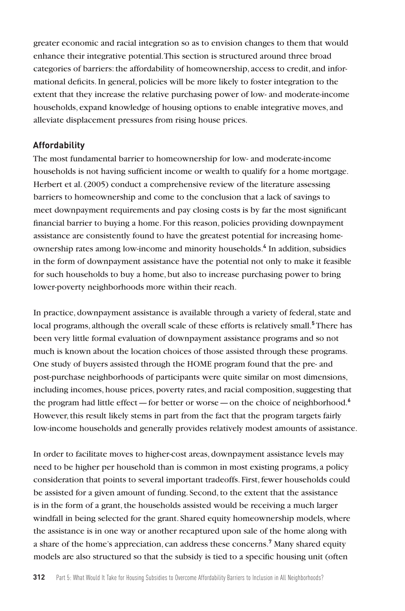greater economic and racial integration so as to envision changes to them that would enhance their integrative potential. This section is structured around three broad categories of barriers: the affordability of homeownership, access to credit, and informational deficits. In general, policies will be more likely to foster integration to the extent that they increase the relative purchasing power of low- and moderate-income households, expand knowledge of housing options to enable integrative moves, and alleviate displacement pressures from rising house prices.

## **Affordability**

The most fundamental barrier to homeownership for low- and moderate-income households is not having sufficient income or wealth to qualify for a home mortgage. Herbert et al. (2005) conduct a comprehensive review of the literature assessing barriers to homeownership and come to the conclusion that a lack of savings to meet downpayment requirements and pay closing costs is by far the most significant financial barrier to buying a home. For this reason, policies providing downpayment assistance are consistently found to have the greatest potential for increasing homeownership rates among low-income and minority households.**<sup>4</sup>** In addition, subsidies in the form of downpayment assistance have the potential not only to make it feasible for such households to buy a home, but also to increase purchasing power to bring lower-poverty neighborhoods more within their reach.

In practice, downpayment assistance is available through a variety of federal, state and local programs, although the overall scale of these efforts is relatively small.<sup>5</sup> There has been very little formal evaluation of downpayment assistance programs and so not much is known about the location choices of those assisted through these programs. One study of buyers assisted through the HOME program found that the pre- and post-purchase neighborhoods of participants were quite similar on most dimensions, including incomes, house prices, poverty rates, and racial composition, suggesting that the program had little effect—for better or worse—on the choice of neighborhood.**<sup>6</sup>** However, this result likely stems in part from the fact that the program targets fairly low-income households and generally provides relatively modest amounts of assistance.

In order to facilitate moves to higher-cost areas, downpayment assistance levels may need to be higher per household than is common in most existing programs, a policy consideration that points to several important tradeoffs. First, fewer households could be assisted for a given amount of funding. Second, to the extent that the assistance is in the form of a grant, the households assisted would be receiving a much larger windfall in being selected for the grant. Shared equity homeownership models, where the assistance is in one way or another recaptured upon sale of the home along with a share of the home's appreciation, can address these concerns.**<sup>7</sup>** Many shared equity models are also structured so that the subsidy is tied to a specific housing unit (often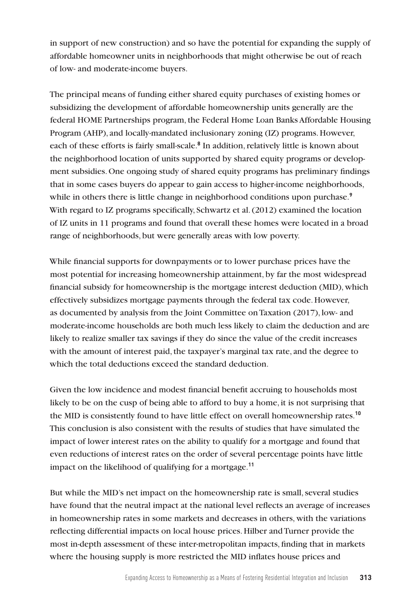in support of new construction) and so have the potential for expanding the supply of affordable homeowner units in neighborhoods that might otherwise be out of reach of low- and moderate-income buyers.

The principal means of funding either shared equity purchases of existing homes or subsidizing the development of affordable homeownership units generally are the federal HOME Partnerships program, the Federal Home Loan Banks Affordable Housing Program (AHP), and locally-mandated inclusionary zoning (IZ) programs. However, each of these efforts is fairly small-scale.**<sup>8</sup>** In addition, relatively little is known about the neighborhood location of units supported by shared equity programs or development subsidies. One ongoing study of shared equity programs has preliminary findings that in some cases buyers do appear to gain access to higher-income neighborhoods, while in others there is little change in neighborhood conditions upon purchase.**<sup>9</sup>** With regard to IZ programs specifically, Schwartz et al. (2012) examined the location of IZ units in 11 programs and found that overall these homes were located in a broad range of neighborhoods, but were generally areas with low poverty.

While financial supports for downpayments or to lower purchase prices have the most potential for increasing homeownership attainment, by far the most widespread financial subsidy for homeownership is the mortgage interest deduction (MID), which effectively subsidizes mortgage payments through the federal tax code. However, as documented by analysis from the Joint Committee on Taxation (2017), low- and moderate-income households are both much less likely to claim the deduction and are likely to realize smaller tax savings if they do since the value of the credit increases with the amount of interest paid, the taxpayer's marginal tax rate, and the degree to which the total deductions exceed the standard deduction.

Given the low incidence and modest financial benefit accruing to households most likely to be on the cusp of being able to afford to buy a home, it is not surprising that the MID is consistently found to have little effect on overall homeownership rates.**<sup>10</sup>** This conclusion is also consistent with the results of studies that have simulated the impact of lower interest rates on the ability to qualify for a mortgage and found that even reductions of interest rates on the order of several percentage points have little impact on the likelihood of qualifying for a mortgage.**<sup>11</sup>**

But while the MID's net impact on the homeownership rate is small, several studies have found that the neutral impact at the national level reflects an average of increases in homeownership rates in some markets and decreases in others, with the variations reflecting differential impacts on local house prices. Hilber and Turner provide the most in-depth assessment of these inter-metropolitan impacts, finding that in markets where the housing supply is more restricted the MID inflates house prices and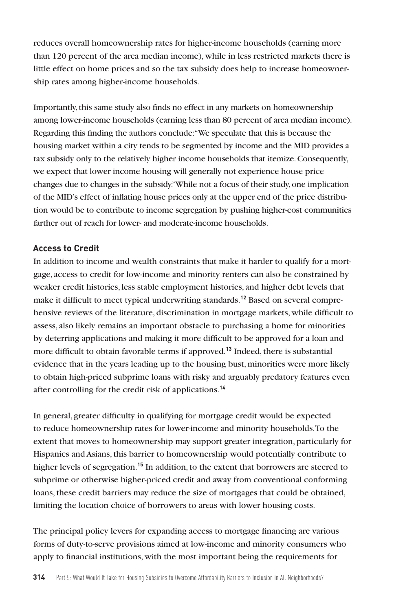reduces overall homeownership rates for higher-income households (earning more than 120 percent of the area median income), while in less restricted markets there is little effect on home prices and so the tax subsidy does help to increase homeownership rates among higher-income households.

Importantly, this same study also finds no effect in any markets on homeownership among lower-income households (earning less than 80 percent of area median income). Regarding this finding the authors conclude: "We speculate that this is because the housing market within a city tends to be segmented by income and the MID provides a tax subsidy only to the relatively higher income households that itemize. Consequently, we expect that lower income housing will generally not experience house price changes due to changes in the subsidy." While not a focus of their study, one implication of the MID's effect of inflating house prices only at the upper end of the price distribution would be to contribute to income segregation by pushing higher-cost communities farther out of reach for lower- and moderate-income households.

## **Access to Credit**

In addition to income and wealth constraints that make it harder to qualify for a mortgage, access to credit for low-income and minority renters can also be constrained by weaker credit histories, less stable employment histories, and higher debt levels that make it difficult to meet typical underwriting standards.**12** Based on several comprehensive reviews of the literature, discrimination in mortgage markets, while difficult to assess, also likely remains an important obstacle to purchasing a home for minorities by deterring applications and making it more difficult to be approved for a loan and more difficult to obtain favorable terms if approved.**<sup>13</sup>** Indeed, there is substantial evidence that in the years leading up to the housing bust, minorities were more likely to obtain high-priced subprime loans with risky and arguably predatory features even after controlling for the credit risk of applications.**<sup>14</sup>**

In general, greater difficulty in qualifying for mortgage credit would be expected to reduce homeownership rates for lower-income and minority households. To the extent that moves to homeownership may support greater integration, particularly for Hispanics and Asians, this barrier to homeownership would potentially contribute to higher levels of segregation.**<sup>15</sup>** In addition, to the extent that borrowers are steered to subprime or otherwise higher-priced credit and away from conventional conforming loans, these credit barriers may reduce the size of mortgages that could be obtained, limiting the location choice of borrowers to areas with lower housing costs.

The principal policy levers for expanding access to mortgage financing are various forms of duty-to-serve provisions aimed at low-income and minority consumers who apply to financial institutions, with the most important being the requirements for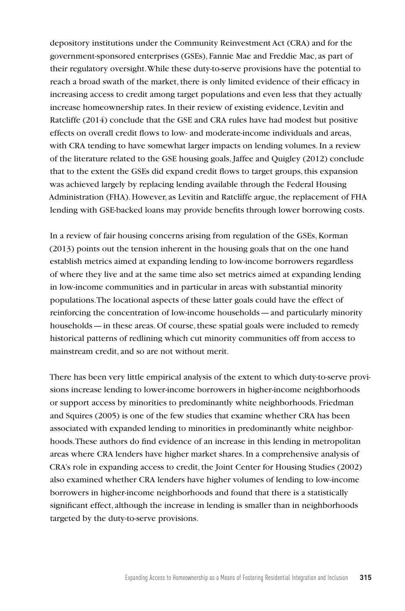depository institutions under the Community Reinvestment Act (CRA) and for the government-sponsored enterprises (GSEs), Fannie Mae and Freddie Mac, as part of their regulatory oversight. While these duty-to-serve provisions have the potential to reach a broad swath of the market, there is only limited evidence of their efficacy in increasing access to credit among target populations and even less that they actually increase homeownership rates. In their review of existing evidence, Levitin and Ratcliffe (2014) conclude that the GSE and CRA rules have had modest but positive effects on overall credit flows to low- and moderate-income individuals and areas, with CRA tending to have somewhat larger impacts on lending volumes. In a review of the literature related to the GSE housing goals, Jaffee and Quigley (2012) conclude that to the extent the GSEs did expand credit flows to target groups, this expansion was achieved largely by replacing lending available through the Federal Housing Administration (FHA). However, as Levitin and Ratcliffe argue, the replacement of FHA lending with GSE-backed loans may provide benefits through lower borrowing costs.

In a review of fair housing concerns arising from regulation of the GSEs, Korman (2013) points out the tension inherent in the housing goals that on the one hand establish metrics aimed at expanding lending to low-income borrowers regardless of where they live and at the same time also set metrics aimed at expanding lending in low-income communities and in particular in areas with substantial minority populations. The locational aspects of these latter goals could have the effect of reinforcing the concentration of low-income households—and particularly minority households—in these areas. Of course, these spatial goals were included to remedy historical patterns of redlining which cut minority communities off from access to mainstream credit, and so are not without merit.

There has been very little empirical analysis of the extent to which duty-to-serve provisions increase lending to lower-income borrowers in higher-income neighborhoods or support access by minorities to predominantly white neighborhoods. Friedman and Squires (2005) is one of the few studies that examine whether CRA has been associated with expanded lending to minorities in predominantly white neighborhoods. These authors do find evidence of an increase in this lending in metropolitan areas where CRA lenders have higher market shares. In a comprehensive analysis of CRA's role in expanding access to credit, the Joint Center for Housing Studies (2002) also examined whether CRA lenders have higher volumes of lending to low-income borrowers in higher-income neighborhoods and found that there is a statistically significant effect, although the increase in lending is smaller than in neighborhoods targeted by the duty-to-serve provisions.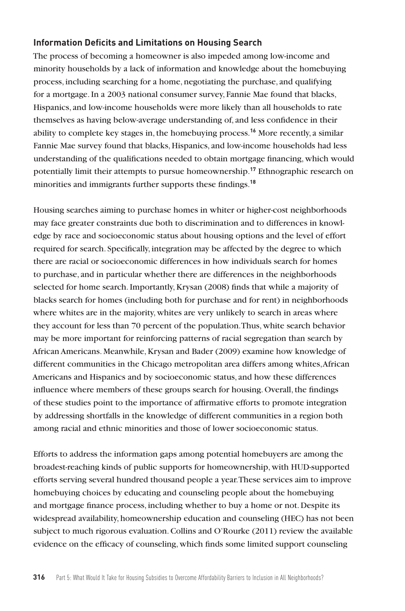## **Information Deficits and Limitations on Housing Search**

The process of becoming a homeowner is also impeded among low-income and minority households by a lack of information and knowledge about the homebuying process, including searching for a home, negotiating the purchase, and qualifying for a mortgage. In a 2003 national consumer survey, Fannie Mae found that blacks, Hispanics, and low-income households were more likely than all households to rate themselves as having below-average understanding of, and less confidence in their ability to complete key stages in, the homebuying process.**<sup>16</sup>** More recently, a similar Fannie Mae survey found that blacks, Hispanics, and low-income households had less understanding of the qualifications needed to obtain mortgage financing, which would potentially limit their attempts to pursue homeownership.**<sup>17</sup>** Ethnographic research on minorities and immigrants further supports these findings.**<sup>18</sup>**

Housing searches aiming to purchase homes in whiter or higher-cost neighborhoods may face greater constraints due both to discrimination and to differences in knowledge by race and socioeconomic status about housing options and the level of effort required for search. Specifically, integration may be affected by the degree to which there are racial or socioeconomic differences in how individuals search for homes to purchase, and in particular whether there are differences in the neighborhoods selected for home search. Importantly, Krysan (2008) finds that while a majority of blacks search for homes (including both for purchase and for rent) in neighborhoods where whites are in the majority, whites are very unlikely to search in areas where they account for less than 70 percent of the population. Thus, white search behavior may be more important for reinforcing patterns of racial segregation than search by African Americans. Meanwhile, Krysan and Bader (2009) examine how knowledge of different communities in the Chicago metropolitan area differs among whites, African Americans and Hispanics and by socioeconomic status, and how these differences influence where members of these groups search for housing. Overall, the findings of these studies point to the importance of affirmative efforts to promote integration by addressing shortfalls in the knowledge of different communities in a region both among racial and ethnic minorities and those of lower socioeconomic status.

Efforts to address the information gaps among potential homebuyers are among the broadest-reaching kinds of public supports for homeownership, with HUD-supported efforts serving several hundred thousand people a year. These services aim to improve homebuying choices by educating and counseling people about the homebuying and mortgage finance process, including whether to buy a home or not. Despite its widespread availability, homeownership education and counseling (HEC) has not been subject to much rigorous evaluation. Collins and O'Rourke (2011) review the available evidence on the efficacy of counseling, which finds some limited support counseling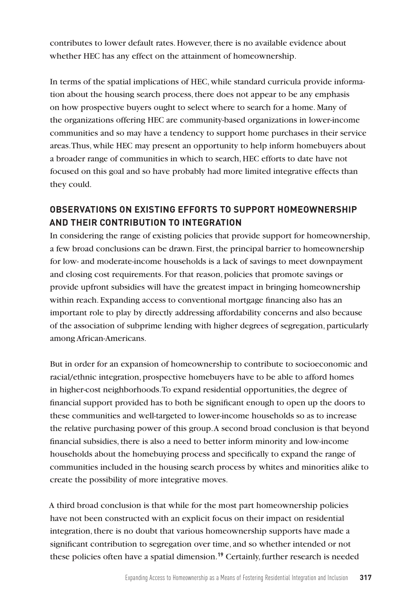contributes to lower default rates. However, there is no available evidence about whether HEC has any effect on the attainment of homeownership.

In terms of the spatial implications of HEC, while standard curricula provide information about the housing search process, there does not appear to be any emphasis on how prospective buyers ought to select where to search for a home. Many of the organizations offering HEC are community-based organizations in lower-income communities and so may have a tendency to support home purchases in their service areas. Thus, while HEC may present an opportunity to help inform homebuyers about a broader range of communities in which to search, HEC efforts to date have not focused on this goal and so have probably had more limited integrative effects than they could.

# **OBSERVATIONS ON EXISTING EFFORTS TO SUPPORT HOMEOWNERSHIP AND THEIR CONTRIBUTION TO INTEGRATION**

In considering the range of existing policies that provide support for homeownership, a few broad conclusions can be drawn. First, the principal barrier to homeownership for low- and moderate-income households is a lack of savings to meet downpayment and closing cost requirements. For that reason, policies that promote savings or provide upfront subsidies will have the greatest impact in bringing homeownership within reach. Expanding access to conventional mortgage financing also has an important role to play by directly addressing affordability concerns and also because of the association of subprime lending with higher degrees of segregation, particularly among African-Americans.

But in order for an expansion of homeownership to contribute to socioeconomic and racial/ethnic integration, prospective homebuyers have to be able to afford homes in higher-cost neighborhoods. To expand residential opportunities, the degree of financial support provided has to both be significant enough to open up the doors to these communities and well-targeted to lower-income households so as to increase the relative purchasing power of this group. A second broad conclusion is that beyond financial subsidies, there is also a need to better inform minority and low-income households about the homebuying process and specifically to expand the range of communities included in the housing search process by whites and minorities alike to create the possibility of more integrative moves.

A third broad conclusion is that while for the most part homeownership policies have not been constructed with an explicit focus on their impact on residential integration, there is no doubt that various homeownership supports have made a significant contribution to segregation over time, and so whether intended or not these policies often have a spatial dimension.**19** Certainly, further research is needed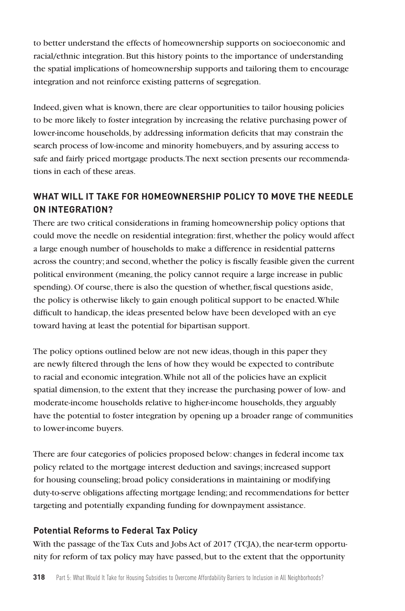to better understand the effects of homeownership supports on socioeconomic and racial/ethnic integration. But this history points to the importance of understanding the spatial implications of homeownership supports and tailoring them to encourage integration and not reinforce existing patterns of segregation.

Indeed, given what is known, there are clear opportunities to tailor housing policies to be more likely to foster integration by increasing the relative purchasing power of lower-income households, by addressing information deficits that may constrain the search process of low-income and minority homebuyers, and by assuring access to safe and fairly priced mortgage products. The next section presents our recommendations in each of these areas.

# **WHAT WILL IT TAKE FOR HOMEOWNERSHIP POLICY TO MOVE THE NEEDLE ON INTEGRATION?**

There are two critical considerations in framing homeownership policy options that could move the needle on residential integration: first, whether the policy would affect a large enough number of households to make a difference in residential patterns across the country; and second, whether the policy is fiscally feasible given the current political environment (meaning, the policy cannot require a large increase in public spending). Of course, there is also the question of whether, fiscal questions aside, the policy is otherwise likely to gain enough political support to be enacted. While difficult to handicap, the ideas presented below have been developed with an eye toward having at least the potential for bipartisan support.

The policy options outlined below are not new ideas, though in this paper they are newly filtered through the lens of how they would be expected to contribute to racial and economic integration. While not all of the policies have an explicit spatial dimension, to the extent that they increase the purchasing power of low- and moderate-income households relative to higher-income households, they arguably have the potential to foster integration by opening up a broader range of communities to lower-income buyers.

There are four categories of policies proposed below: changes in federal income tax policy related to the mortgage interest deduction and savings; increased support for housing counseling; broad policy considerations in maintaining or modifying duty-to-serve obligations affecting mortgage lending; and recommendations for better targeting and potentially expanding funding for downpayment assistance.

## **Potential Reforms to Federal Tax Policy**

With the passage of the Tax Cuts and Jobs Act of 2017 (TCJA), the near-term opportunity for reform of tax policy may have passed, but to the extent that the opportunity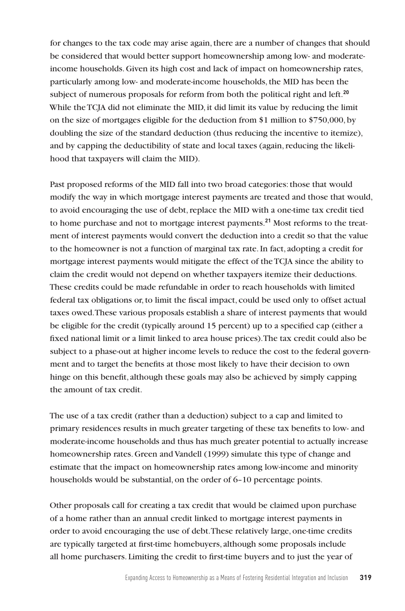for changes to the tax code may arise again, there are a number of changes that should be considered that would better support homeownership among low- and moderateincome households. Given its high cost and lack of impact on homeownership rates, particularly among low- and moderate-income households, the MID has been the subject of numerous proposals for reform from both the political right and left.**<sup>20</sup>** While the TCJA did not eliminate the MID, it did limit its value by reducing the limit on the size of mortgages eligible for the deduction from \$1 million to \$750,000, by doubling the size of the standard deduction (thus reducing the incentive to itemize), and by capping the deductibility of state and local taxes (again, reducing the likelihood that taxpayers will claim the MID).

Past proposed reforms of the MID fall into two broad categories: those that would modify the way in which mortgage interest payments are treated and those that would, to avoid encouraging the use of debt, replace the MID with a one-time tax credit tied to home purchase and not to mortgage interest payments.**21** Most reforms to the treatment of interest payments would convert the deduction into a credit so that the value to the homeowner is not a function of marginal tax rate. In fact, adopting a credit for mortgage interest payments would mitigate the effect of the TCJA since the ability to claim the credit would not depend on whether taxpayers itemize their deductions. These credits could be made refundable in order to reach households with limited federal tax obligations or, to limit the fiscal impact, could be used only to offset actual taxes owed. These various proposals establish a share of interest payments that would be eligible for the credit (typically around 15 percent) up to a specified cap (either a fixed national limit or a limit linked to area house prices). The tax credit could also be subject to a phase-out at higher income levels to reduce the cost to the federal government and to target the benefits at those most likely to have their decision to own hinge on this benefit, although these goals may also be achieved by simply capping the amount of tax credit.

The use of a tax credit (rather than a deduction) subject to a cap and limited to primary residences results in much greater targeting of these tax benefits to low- and moderate-income households and thus has much greater potential to actually increase homeownership rates. Green and Vandell (1999) simulate this type of change and estimate that the impact on homeownership rates among low-income and minority households would be substantial, on the order of 6–10 percentage points.

Other proposals call for creating a tax credit that would be claimed upon purchase of a home rather than an annual credit linked to mortgage interest payments in order to avoid encouraging the use of debt. These relatively large, one-time credits are typically targeted at first-time homebuyers, although some proposals include all home purchasers. Limiting the credit to first-time buyers and to just the year of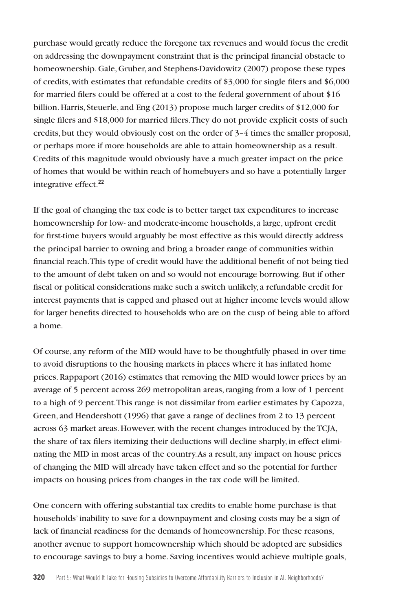purchase would greatly reduce the foregone tax revenues and would focus the credit on addressing the downpayment constraint that is the principal financial obstacle to homeownership. Gale, Gruber, and Stephens-Davidowitz (2007) propose these types of credits, with estimates that refundable credits of \$3,000 for single filers and \$6,000 for married filers could be offered at a cost to the federal government of about \$16 billion. Harris, Steuerle, and Eng (2013) propose much larger credits of \$12,000 for single filers and \$18,000 for married filers. They do not provide explicit costs of such credits, but they would obviously cost on the order of 3–4 times the smaller proposal, or perhaps more if more households are able to attain homeownership as a result. Credits of this magnitude would obviously have a much greater impact on the price of homes that would be within reach of homebuyers and so have a potentially larger integrative effect.**<sup>22</sup>**

If the goal of changing the tax code is to better target tax expenditures to increase homeownership for low- and moderate-income households, a large, upfront credit for first-time buyers would arguably be most effective as this would directly address the principal barrier to owning and bring a broader range of communities within financial reach. This type of credit would have the additional benefit of not being tied to the amount of debt taken on and so would not encourage borrowing. But if other fiscal or political considerations make such a switch unlikely, a refundable credit for interest payments that is capped and phased out at higher income levels would allow for larger benefits directed to households who are on the cusp of being able to afford a home.

Of course, any reform of the MID would have to be thoughtfully phased in over time to avoid disruptions to the housing markets in places where it has inflated home prices. Rappaport (2016) estimates that removing the MID would lower prices by an average of 5 percent across 269 metropolitan areas, ranging from a low of 1 percent to a high of 9 percent. This range is not dissimilar from earlier estimates by Capozza, Green, and Hendershott (1996) that gave a range of declines from 2 to 13 percent across 63 market areas. However, with the recent changes introduced by the TCJA, the share of tax filers itemizing their deductions will decline sharply, in effect eliminating the MID in most areas of the country. As a result, any impact on house prices of changing the MID will already have taken effect and so the potential for further impacts on housing prices from changes in the tax code will be limited.

One concern with offering substantial tax credits to enable home purchase is that households' inability to save for a downpayment and closing costs may be a sign of lack of financial readiness for the demands of homeownership. For these reasons, another avenue to support homeownership which should be adopted are subsidies to encourage savings to buy a home. Saving incentives would achieve multiple goals,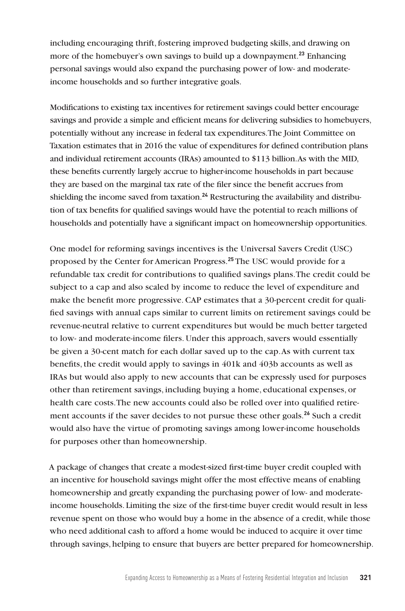including encouraging thrift, fostering improved budgeting skills, and drawing on more of the homebuyer's own savings to build up a downpayment.**<sup>23</sup>** Enhancing personal savings would also expand the purchasing power of low- and moderateincome households and so further integrative goals.

Modifications to existing tax incentives for retirement savings could better encourage savings and provide a simple and efficient means for delivering subsidies to homebuyers, potentially without any increase in federal tax expenditures. The Joint Committee on Taxation estimates that in 2016 the value of expenditures for defined contribution plans and individual retirement accounts (IRAs) amounted to \$113 billion. As with the MID, these benefits currently largely accrue to higher-income households in part because they are based on the marginal tax rate of the filer since the benefit accrues from shielding the income saved from taxation.**24** Restructuring the availability and distribution of tax benefits for qualified savings would have the potential to reach millions of households and potentially have a significant impact on homeownership opportunities.

One model for reforming savings incentives is the Universal Savers Credit (USC) proposed by the Center for American Progress.**<sup>25</sup>** The USC would provide for a refundable tax credit for contributions to qualified savings plans. The credit could be subject to a cap and also scaled by income to reduce the level of expenditure and make the benefit more progressive. CAP estimates that a 30-percent credit for qualified savings with annual caps similar to current limits on retirement savings could be revenue-neutral relative to current expenditures but would be much better targeted to low- and moderate-income filers. Under this approach, savers would essentially be given a 30-cent match for each dollar saved up to the cap. As with current tax benefits, the credit would apply to savings in 401k and 403b accounts as well as IRAs but would also apply to new accounts that can be expressly used for purposes other than retirement savings, including buying a home, educational expenses, or health care costs. The new accounts could also be rolled over into qualified retirement accounts if the saver decides to not pursue these other goals.**<sup>26</sup>** Such a credit would also have the virtue of promoting savings among lower-income households for purposes other than homeownership.

A package of changes that create a modest-sized first-time buyer credit coupled with an incentive for household savings might offer the most effective means of enabling homeownership and greatly expanding the purchasing power of low- and moderateincome households. Limiting the size of the first-time buyer credit would result in less revenue spent on those who would buy a home in the absence of a credit, while those who need additional cash to afford a home would be induced to acquire it over time through savings, helping to ensure that buyers are better prepared for homeownership.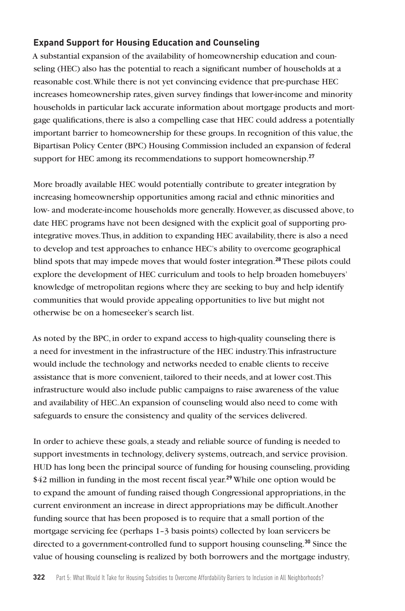## **Expand Support for Housing Education and Counseling**

A substantial expansion of the availability of homeownership education and counseling (HEC) also has the potential to reach a significant number of households at a reasonable cost. While there is not yet convincing evidence that pre-purchase HEC increases homeownership rates, given survey findings that lower-income and minority households in particular lack accurate information about mortgage products and mortgage qualifications, there is also a compelling case that HEC could address a potentially important barrier to homeownership for these groups. In recognition of this value, the Bipartisan Policy Center (BPC) Housing Commission included an expansion of federal support for HEC among its recommendations to support homeownership.**<sup>27</sup>**

More broadly available HEC would potentially contribute to greater integration by increasing homeownership opportunities among racial and ethnic minorities and low- and moderate-income households more generally. However, as discussed above, to date HEC programs have not been designed with the explicit goal of supporting prointegrative moves. Thus, in addition to expanding HEC availability, there is also a need to develop and test approaches to enhance HEC's ability to overcome geographical blind spots that may impede moves that would foster integration.**<sup>28</sup>** These pilots could explore the development of HEC curriculum and tools to help broaden homebuyers' knowledge of metropolitan regions where they are seeking to buy and help identify communities that would provide appealing opportunities to live but might not otherwise be on a homeseeker's search list.

As noted by the BPC, in order to expand access to high-quality counseling there is a need for investment in the infrastructure of the HEC industry. This infrastructure would include the technology and networks needed to enable clients to receive assistance that is more convenient, tailored to their needs, and at lower cost. This infrastructure would also include public campaigns to raise awareness of the value and availability of HEC. An expansion of counseling would also need to come with safeguards to ensure the consistency and quality of the services delivered.

In order to achieve these goals, a steady and reliable source of funding is needed to support investments in technology, delivery systems, outreach, and service provision. HUD has long been the principal source of funding for housing counseling, providing \$42 million in funding in the most recent fiscal year.**<sup>29</sup>** While one option would be to expand the amount of funding raised though Congressional appropriations, in the current environment an increase in direct appropriations may be difficult. Another funding source that has been proposed is to require that a small portion of the mortgage servicing fee (perhaps 1–3 basis points) collected by loan servicers be directed to a government-controlled fund to support housing counseling.**<sup>30</sup>** Since the value of housing counseling is realized by both borrowers and the mortgage industry,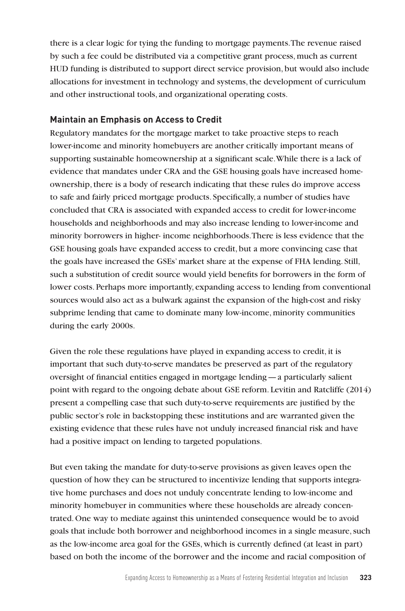there is a clear logic for tying the funding to mortgage payments. The revenue raised by such a fee could be distributed via a competitive grant process, much as current HUD funding is distributed to support direct service provision, but would also include allocations for investment in technology and systems, the development of curriculum and other instructional tools, and organizational operating costs.

## **Maintain an Emphasis on Access to Credit**

Regulatory mandates for the mortgage market to take proactive steps to reach lower-income and minority homebuyers are another critically important means of supporting sustainable homeownership at a significant scale. While there is a lack of evidence that mandates under CRA and the GSE housing goals have increased homeownership, there is a body of research indicating that these rules do improve access to safe and fairly priced mortgage products. Specifically, a number of studies have concluded that CRA is associated with expanded access to credit for lower-income households and neighborhoods and may also increase lending to lower-income and minority borrowers in higher- income neighborhoods. There is less evidence that the GSE housing goals have expanded access to credit, but a more convincing case that the goals have increased the GSEs' market share at the expense of FHA lending. Still, such a substitution of credit source would yield benefits for borrowers in the form of lower costs. Perhaps more importantly, expanding access to lending from conventional sources would also act as a bulwark against the expansion of the high-cost and risky subprime lending that came to dominate many low-income, minority communities during the early 2000s.

Given the role these regulations have played in expanding access to credit, it is important that such duty-to-serve mandates be preserved as part of the regulatory oversight of financial entities engaged in mortgage lending—a particularly salient point with regard to the ongoing debate about GSE reform. Levitin and Ratcliffe (2014) present a compelling case that such duty-to-serve requirements are justified by the public sector's role in backstopping these institutions and are warranted given the existing evidence that these rules have not unduly increased financial risk and have had a positive impact on lending to targeted populations.

But even taking the mandate for duty-to-serve provisions as given leaves open the question of how they can be structured to incentivize lending that supports integrative home purchases and does not unduly concentrate lending to low-income and minority homebuyer in communities where these households are already concentrated. One way to mediate against this unintended consequence would be to avoid goals that include both borrower and neighborhood incomes in a single measure, such as the low-income area goal for the GSEs, which is currently defined (at least in part) based on both the income of the borrower and the income and racial composition of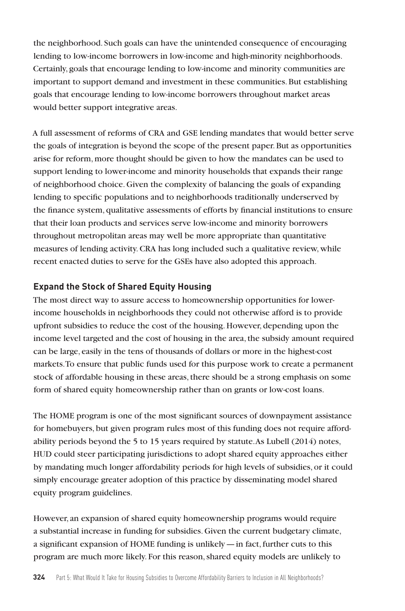the neighborhood. Such goals can have the unintended consequence of encouraging lending to low-income borrowers in low-income and high-minority neighborhoods. Certainly, goals that encourage lending to low-income and minority communities are important to support demand and investment in these communities. But establishing goals that encourage lending to low-income borrowers throughout market areas would better support integrative areas.

A full assessment of reforms of CRA and GSE lending mandates that would better serve the goals of integration is beyond the scope of the present paper. But as opportunities arise for reform, more thought should be given to how the mandates can be used to support lending to lower-income and minority households that expands their range of neighborhood choice. Given the complexity of balancing the goals of expanding lending to specific populations and to neighborhoods traditionally underserved by the finance system, qualitative assessments of efforts by financial institutions to ensure that their loan products and services serve low-income and minority borrowers throughout metropolitan areas may well be more appropriate than quantitative measures of lending activity. CRA has long included such a qualitative review, while recent enacted duties to serve for the GSEs have also adopted this approach.

## **Expand the Stock of Shared Equity Housing**

The most direct way to assure access to homeownership opportunities for lowerincome households in neighborhoods they could not otherwise afford is to provide upfront subsidies to reduce the cost of the housing. However, depending upon the income level targeted and the cost of housing in the area, the subsidy amount required can be large, easily in the tens of thousands of dollars or more in the highest-cost markets. To ensure that public funds used for this purpose work to create a permanent stock of affordable housing in these areas, there should be a strong emphasis on some form of shared equity homeownership rather than on grants or low-cost loans.

The HOME program is one of the most significant sources of downpayment assistance for homebuyers, but given program rules most of this funding does not require affordability periods beyond the 5 to 15 years required by statute. As Lubell (2014) notes, HUD could steer participating jurisdictions to adopt shared equity approaches either by mandating much longer affordability periods for high levels of subsidies, or it could simply encourage greater adoption of this practice by disseminating model shared equity program guidelines.

However, an expansion of shared equity homeownership programs would require a substantial increase in funding for subsidies. Given the current budgetary climate, a significant expansion of HOME funding is unlikely—in fact, further cuts to this program are much more likely. For this reason, shared equity models are unlikely to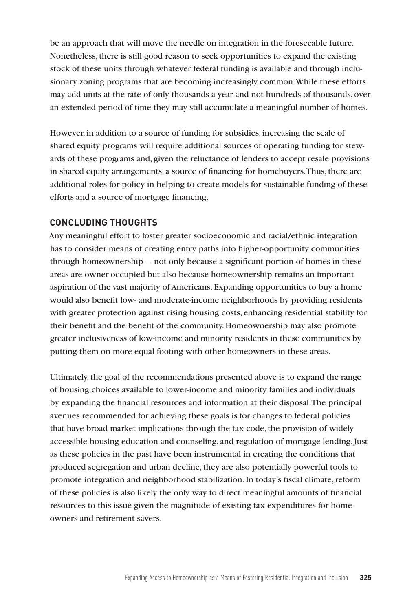be an approach that will move the needle on integration in the foreseeable future. Nonetheless, there is still good reason to seek opportunities to expand the existing stock of these units through whatever federal funding is available and through inclusionary zoning programs that are becoming increasingly common. While these efforts may add units at the rate of only thousands a year and not hundreds of thousands, over an extended period of time they may still accumulate a meaningful number of homes.

However, in addition to a source of funding for subsidies, increasing the scale of shared equity programs will require additional sources of operating funding for stewards of these programs and, given the reluctance of lenders to accept resale provisions in shared equity arrangements, a source of financing for homebuyers. Thus, there are additional roles for policy in helping to create models for sustainable funding of these efforts and a source of mortgage financing.

## **CONCLUDING THOUGHTS**

Any meaningful effort to foster greater socioeconomic and racial/ethnic integration has to consider means of creating entry paths into higher-opportunity communities through homeownership—not only because a significant portion of homes in these areas are owner-occupied but also because homeownership remains an important aspiration of the vast majority of Americans. Expanding opportunities to buy a home would also benefit low- and moderate-income neighborhoods by providing residents with greater protection against rising housing costs, enhancing residential stability for their benefit and the benefit of the community. Homeownership may also promote greater inclusiveness of low-income and minority residents in these communities by putting them on more equal footing with other homeowners in these areas.

Ultimately, the goal of the recommendations presented above is to expand the range of housing choices available to lower-income and minority families and individuals by expanding the financial resources and information at their disposal. The principal avenues recommended for achieving these goals is for changes to federal policies that have broad market implications through the tax code, the provision of widely accessible housing education and counseling, and regulation of mortgage lending. Just as these policies in the past have been instrumental in creating the conditions that produced segregation and urban decline, they are also potentially powerful tools to promote integration and neighborhood stabilization. In today's fiscal climate, reform of these policies is also likely the only way to direct meaningful amounts of financial resources to this issue given the magnitude of existing tax expenditures for homeowners and retirement savers.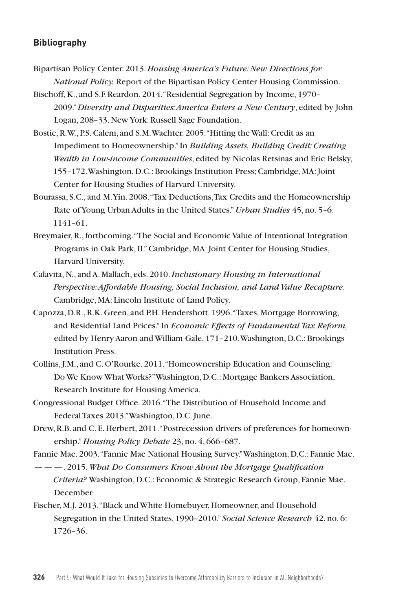#### **Bibliography**

- Bipartisan Policy Center. 2013. *Housing America's Future: New Directions for National Policy.* Report of the Bipartisan Policy Center Housing Commission.
- Bischoff, K., and S.F. Reardon. 2014. "Residential Segregation by Income, 1970– 2009."*Diversity and Disparities: America Enters a New Century*, edited by John Logan, 208–33. New York: Russell Sage Foundation.
- Bostic, R.W., P.S. Calem, and S.M. Wachter. 2005. "Hitting the Wall: Credit as an Impediment to Homeownership." In *Building Assets, Building Credit: Creating Wealth in Low-income Communities*, edited by Nicolas Retsinas and Eric Belsky, 155–172. Washington, D.C.: Brookings Institution Press; Cambridge, MA: Joint Center for Housing Studies of Harvard University.
- Bourassa, S.C., and M. Yin. 2008. "Tax Deductions, Tax Credits and the Homeownership Rate of Young Urban Adults in the United States."*Urban Studies* 45, no. 5–6: 1141–61.
- Breymaier, R., forthcoming. "The Social and Economic Value of Intentional Integration Programs in Oak Park, IL" Cambridge, MA: Joint Center for Housing Studies, Harvard University.
- Calavita, N., and A. Mallach, eds. 2010.*Inclusionary Housing in International Perspective: Affordable Housing, Social Inclusion, and Land Value Recapture.*  Cambridge, MA: Lincoln Institute of Land Policy.
- Capozza, D.R., R.K. Green, and P.H. Hendershott. 1996. "Taxes, Mortgage Borrowing, and Residential Land Prices." In *Economic Effects of Fundamental Tax Reform,* edited by Henry Aaron and William Gale, 171–210. Washington, D.C.: Brookings Institution Press.
- Collins, J.M., and C. O'Rourke. 2011. "Homeownership Education and Counseling: Do We Know What Works?" Washington, D.C.: Mortgage Bankers Association, Research Institute for Housing America.
- Congressional Budget Office. 2016. "The Distribution of Household Income and Federal Taxes 2013." Washington, D.C. June.
- Drew, R.B. and C. E. Herbert, 2011. "Postrecession drivers of preferences for homeownership."*Housing Policy Debate* 23, no. 4, 666–687.

Fannie Mae. 2003. "Fannie Mae National Housing Survey."Washington, D.C.: Fannie Mae.

———. 2015. *What Do Consumers Know About the Mortgage Qualification Criteria?* Washington, D.C.: Economic & Strategic Research Group, Fannie Mae. December.

Fischer, M.J. 2013. "Black and White Homebuyer, Homeowner, and Household Segregation in the United States, 1990–2010." *Social Science Research* 42, no. 6: 1726–36.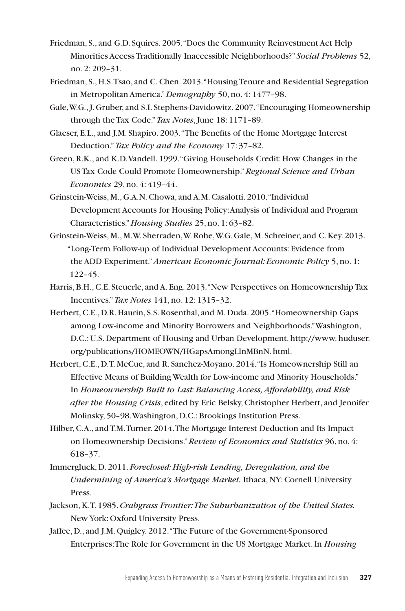- Friedman, S., and G.D. Squires. 2005. "Does the Community Reinvestment Act Help Minorities Access Traditionally Inaccessible Neighborhoods?" *Social Problems* 52, no. 2: 209–31.
- Friedman, S., H.S. Tsao, and C. Chen. 2013. "Housing Tenure and Residential Segregation in Metropolitan America."*Demography* 50, no. 4: 1477–98.
- Gale, W.G., J. Gruber, and S.I. Stephens-Davidowitz. 2007. "Encouraging Homeownership through the Tax Code." *Tax Notes*, June 18: 1171–89.
- Glaeser, E.L., and J.M. Shapiro. 2003. "The Benefits of the Home Mortgage Interest Deduction."*Tax Policy and the Economy* 17: 37–82.
- Green, R.K., and K.D. Vandell. 1999. "Giving Households Credit: How Changes in the US Tax Code Could Promote Homeownership."*Regional Science and Urban Economics* 29, no. 4: 419–44.
- Grinstein-Weiss, M., G.A.N. Chowa, and A.M. Casalotti. 2010. "Individual Development Accounts for Housing Policy: Analysis of Individual and Program Characteristics."*Housing Studies* 25, no. 1: 63–82.
- Grinstein-Weiss, M., M.W. Sherraden, W. Rohe, W.G. Gale, M. Schreiner, and C. Key. 2013. "Long-Term Follow-up of Individual Development Accounts: Evidence from the ADD Experiment." *American Economic Journal: Economic Policy* 5, no. 1: 122–45.
- Harris, B.H., C.E. Steuerle, and A. Eng. 2013. "New Perspectives on Homeownership Tax Incentives."*Tax Notes* 141, no. 12: 1315–32.
- Herbert, C.E., D.R. Haurin, S.S. Rosenthal, and M. Duda. 2005. "Homeownership Gaps among Low-income and Minority Borrowers and Neighborhoods."Washington, D.C.: U.S. Department of Housing and Urban Development. http://www. huduser. org/publications/HOMEOWN/HGapsAmongLInMBnN. html.
- Herbert, C.E., D.T. McCue, and R. Sanchez-Moyano. 2014. "Is Homeownership Still an Effective Means of Building Wealth for Low-income and Minority Households." In *Homeownership Built to Last: Balancing Access, Affordability, and Risk after the Housing Crisis*, edited by Eric Belsky, Christopher Herbert, and Jennifer Molinsky, 50–98. Washington, D.C.: Brookings Institution Press.
- Hilber, C.A., and T.M. Turner. 2014. The Mortgage Interest Deduction and Its Impact on Homeownership Decisions."*Review of Economics and Statistics* 96, no. 4: 618–37.
- Immergluck, D. 2011. *Foreclosed: High-risk Lending, Deregulation, and the Undermining of America's Mortgage Market.* Ithaca, NY: Cornell University Press.
- Jackson, K.T. 1985.*Crabgrass Frontier: The Suburbanization of the United States.* New York: Oxford University Press.
- Jaffee, D., and J.M. Quigley. 2012. "The Future of the Government-Sponsored Enterprises: The Role for Government in the US Mortgage Market. In *Housing*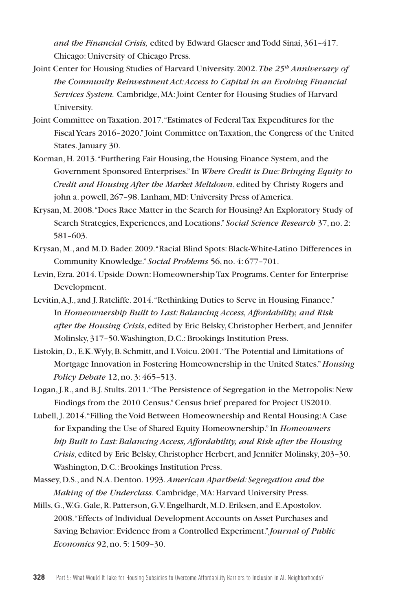*and the Financial Crisis,* edited by Edward Glaeser and Todd Sinai, 361–417. Chicago: University of Chicago Press.

- Joint Center for Housing Studies of Harvard University. 2002. *The 25th Anniversary of the Community Reinvestment Act: Access to Capital in an Evolving Financial Services System.* Cambridge, MA: Joint Center for Housing Studies of Harvard University.
- Joint Committee on Taxation. 2017. "Estimates of Federal Tax Expenditures for the Fiscal Years 2016–2020." Joint Committee on Taxation, the Congress of the United States. January 30.
- Korman, H. 2013. "Furthering Fair Housing, the Housing Finance System, and the Government Sponsored Enterprises." In *Where Credit is Due: Bringing Equity to Credit and Housing After the Market Meltdown*, edited by Christy Rogers and john a. powell, 267–98. Lanham, MD: University Press of America.
- Krysan, M. 2008. "Does Race Matter in the Search for Housing? An Exploratory Study of Search Strategies, Experiences, and Locations." *Social Science Research* 37, no. 2: 581–603.
- Krysan, M., and M.D. Bader. 2009. "Racial Blind Spots: Black-White-Latino Differences in Community Knowledge." *Social Problems* 56, no. 4: 677–701.
- Levin, Ezra. 2014. Upside Down: Homeownership Tax Programs. Center for Enterprise Development.
- Levitin, A.J., and J. Ratcliffe. 2014. "Rethinking Duties to Serve in Housing Finance." In *Homeownership Built to Last: Balancing Access, Affordability, and Risk after the Housing Crisis*, edited by Eric Belsky, Christopher Herbert, and Jennifer Molinsky, 317–50. Washington, D.C.: Brookings Institution Press.
- Listokin, D., E.K. Wyly, B. Schmitt, and I. Voicu. 2001. "The Potential and Limitations of Mortgage Innovation in Fostering Homeownership in the United States."*Housing Policy Debate* 12, no. 3: 465–513.
- Logan, J.R., and B.J. Stults. 2011. "The Persistence of Segregation in the Metropolis: New Findings from the 2010 Census."Census brief prepared for Project US2010.
- Lubell, J. 2014. "Filling the Void Between Homeownership and Rental Housing: A Case for Expanding the Use of Shared Equity Homeownership." In *Homeowners hip Built to Last: Balancing Access, Affordability, and Risk after the Housing Crisis*, edited by Eric Belsky, Christopher Herbert, and Jennifer Molinsky, 203–30. Washington, D.C.: Brookings Institution Press.
- Massey, D.S., and N.A. Denton. 1993.*American Apartheid: Segregation and the Making of the Underclass.* Cambridge, MA: Harvard University Press.
- Mills, G., W.G. Gale, R. Patterson, G.V. Engelhardt, M.D. Eriksen, and E. Apostolov. 2008. "Effects of Individual Development Accounts on Asset Purchases and Saving Behavior: Evidence from a Controlled Experiment." *Journal of Public Economics* 92, no. 5: 1509–30.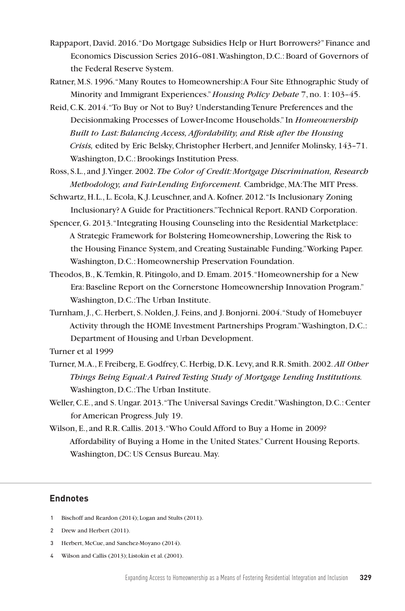- Rappaport, David. 2016. "Do Mortgage Subsidies Help or Hurt Borrowers?" Finance and Economics Discussion Series 2016–081. Washington, D.C.: Board of Governors of the Federal Reserve System.
- Ratner, M.S. 1996. "Many Routes to Homeownership: A Four Site Ethnographic Study of Minority and Immigrant Experiences."*Housing Policy Debate* 7, no. 1: 103–45.
- Reid, C.K. 2014. "To Buy or Not to Buy? Understanding Tenure Preferences and the Decisionmaking Processes of Lower-Income Households." In *Homeownership Built to Last: Balancing Access, Affordability, and Risk after the Housing Crisis,* edited by Eric Belsky, Christopher Herbert, and Jennifer Molinsky, 143–71. Washington, D.C.: Brookings Institution Press.
- Ross, S.L., and J. Yinger. 2002. *The Color of Credit: Mortgage Discrimination, Research Methodology, and Fair-Lending Enforcement.* Cambridge, MA: The MIT Press.
- Schwartz, H.L., L. Ecola, K.J. Leuschner, and A. Kofner. 2012. "Is Inclusionary Zoning Inclusionary? A Guide for Practitioners." Technical Report.RAND Corporation.
- Spencer, G. 2013. "Integrating Housing Counseling into the Residential Marketplace: A Strategic Framework for Bolstering Homeownership, Lowering the Risk to the Housing Finance System, and Creating Sustainable Funding." Working Paper. Washington, D.C.: Homeownership Preservation Foundation.
- Theodos, B., K. Temkin, R. Pitingolo, and D. Emam. 2015. "Homeownership for a New Era: Baseline Report on the Cornerstone Homeownership Innovation Program." Washington, D.C.: The Urban Institute.
- Turnham, J., C. Herbert, S. Nolden, J. Feins, and J. Bonjorni. 2004. "Study of Homebuyer Activity through the HOME Investment Partnerships Program."Washington, D.C.: Department of Housing and Urban Development.

Turner et al 1999

- Turner, M.A., F. Freiberg, E. Godfrey, C. Herbig, D.K. Levy, and R.R. Smith. 2002. *All Other Things Being Equal: A Paired Testing Study of Mortgage Lending Institutions.*  Washington, D.C.: The Urban Institute.
- Weller, C.E., and S. Ungar. 2013. "The Universal Savings Credit." Washington, D.C.: Center for American Progress. July 19.
- Wilson, E., and R.R. Callis. 2013. "Who Could Afford to Buy a Home in 2009? Affordability of Buying a Home in the United States."Current Housing Reports. Washington, DC: US Census Bureau. May.

#### **Endnotes**

- 1 Bischoff and Reardon (2014); Logan and Stults (2011).
- 2 Drew and Herbert (2011).
- 3 Herbert, McCue, and Sanchez-Moyano (2014).
- 4 Wilson and Callis (2013); Listokin et al. (2001).